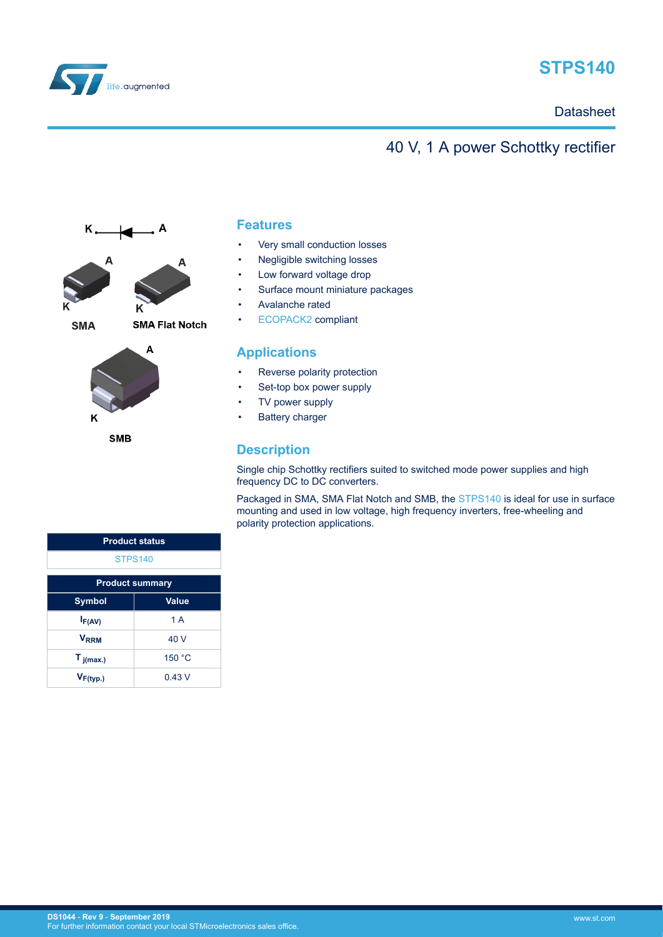

# **STPS140**

**Datasheet** 

## 40 V, 1 A power Schottky rectifier





**SMB** 

### **Features**

- Very small conduction losses
- Negligible switching losses
- Low forward voltage drop
- Surface mount miniature packages
- Avalanche rated
- [ECOPACK2](https://www.st.com/ecopack) compliant

### **Applications**

- Reverse polarity protection
- Set-top box power supply
- TV power supply
- Battery charger

### **Description**

Single chip Schottky rectifiers suited to switched mode power supplies and high frequency DC to DC converters.

Packaged in SMA, SMA Flat Notch and SMB, the [STPS140](https://www.st.com/en/product/stps140?ecmp=tt9470_gl_link_feb2019&rt=ds&id=DS1044) is ideal for use in surface mounting and used in low voltage, high frequency inverters, free-wheeling and polarity protection applications.

| <b>Product status</b>  |        |  |
|------------------------|--------|--|
| <b>STPS140</b>         |        |  |
| <b>Product summary</b> |        |  |
| <b>Symbol</b>          | Value  |  |
| $I_{F(AV)}$            | 1A     |  |
| <b>VRRM</b>            | 40 V   |  |
| $T_{j(max.)}$          | 150 °C |  |
| $V_{F(typ.)}$          | 0.43V  |  |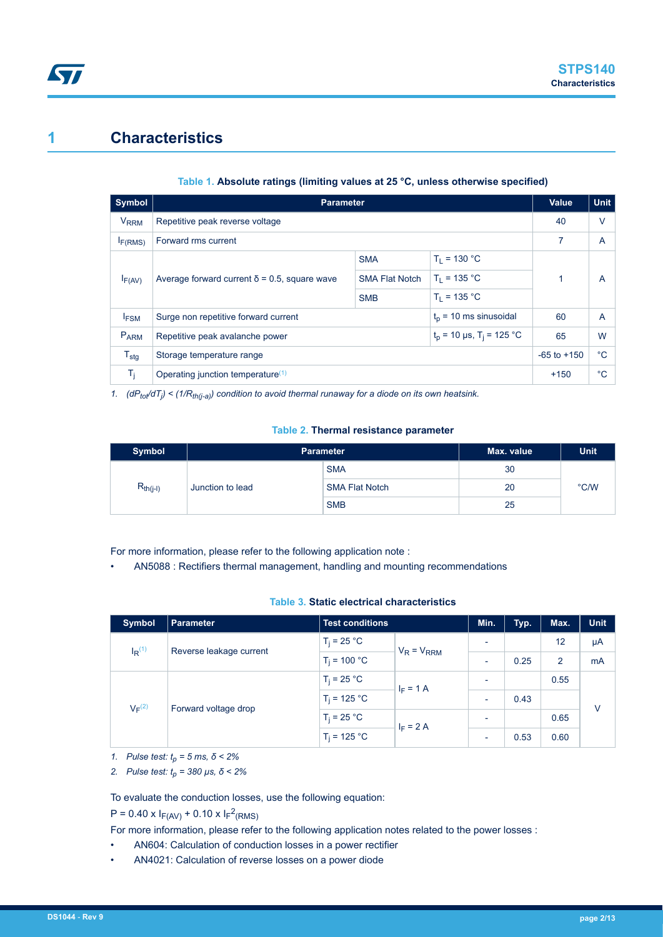## <span id="page-1-0"></span>**1 Characteristics**

### **Table 1. Absolute ratings (limiting values at 25 °C, unless otherwise specified)**

| Symbol                 | <b>Parameter</b>                                                          |                       |                | Value           | <b>Unit</b>  |
|------------------------|---------------------------------------------------------------------------|-----------------------|----------------|-----------------|--------------|
| <b>V<sub>RRM</sub></b> | Repetitive peak reverse voltage                                           |                       |                | 40              | $\vee$       |
| I <sub>F(RMS)</sub>    | Forward rms current                                                       |                       |                | 7               | A            |
|                        |                                                                           | <b>SMA</b>            | $T_1 = 130 °C$ |                 |              |
| $I_{F(AV)}$            | Average forward current $\delta$ = 0.5, square wave                       | <b>SMA Flat Notch</b> | $T_1 = 135 °C$ |                 | A            |
|                        |                                                                           | <b>SMB</b>            | $T_1 = 135 °C$ |                 |              |
| I <sub>FSM</sub>       | $tn$ = 10 ms sinusoidal<br>Surge non repetitive forward current           |                       |                | 60              | A            |
| P <sub>ARM</sub>       | $t_p$ = 10 µs, T <sub>i</sub> = 125 °C<br>Repetitive peak avalanche power |                       | 65             | W               |              |
| $T_{\text{stg}}$       | Storage temperature range                                                 |                       |                | $-65$ to $+150$ | $^{\circ}$ C |
| $T_{\rm i}$            | Operating junction temperature <sup>(1)</sup>                             |                       |                | $+150$          | $^{\circ}$ C |

*1. (dPtot/dT<sup>j</sup> ) < (1/Rth(j-a)) condition to avoid thermal runaway for a diode on its own heatsink.*

### **Table 2. Thermal resistance parameter**

| Symbol                            | <b>Parameter</b> |                       | Max. value | <b>Unit</b> |
|-----------------------------------|------------------|-----------------------|------------|-------------|
| $R_{th(i-l)}$<br>Junction to lead | <b>SMA</b>       | 30                    |            |             |
|                                   |                  | <b>SMA Flat Notch</b> | 20         | °C/W        |
|                                   |                  | <b>SMB</b>            | 25         |             |

For more information, please refer to the following application note :

• AN5088 : Rectifiers thermal management, handling and mounting recommendations

### **Table 3. Static electrical characteristics**

| <b>Symbol</b>        | <b>Parameter</b>        | <b>Test conditions</b> |                 | Min.                     | Typ. | Max.           | <b>Unit</b> |
|----------------------|-------------------------|------------------------|-----------------|--------------------------|------|----------------|-------------|
| $I_R$ <sup>(1)</sup> | Reverse leakage current | $T_i = 25 °C$          | $V_R = V_{RRM}$ | $\overline{\phantom{a}}$ |      | 12             | μA          |
|                      |                         | $T_i = 100 °C$         |                 | $\overline{\phantom{0}}$ | 0.25 | $\overline{2}$ | mA          |
| $V_F^{(2)}$          | Forward voltage drop    | $T_i = 25 °C$          | $I_F = 1 A$     | $\overline{a}$           |      | 0.55           | $\vee$      |
|                      |                         | $T_i = 125 °C$         |                 | $\overline{\phantom{a}}$ | 0.43 |                |             |
|                      |                         | $T_i = 25 °C$          | $I_F = 2 A$     | $\overline{\phantom{0}}$ |      | 0.65           |             |
|                      |                         | $T_i = 125 °C$         |                 | ٠                        | 0.53 | 0.60           |             |

*1. Pulse test: tp = 5 ms, δ < 2%*

*2. Pulse test: tp = 380 µs, δ < 2%*

To evaluate the conduction losses, use the following equation:

 $P = 0.40 \times I_{F(AV)} + 0.10 \times I_{F}^{2}(RMS)$ 

For more information, please refer to the following application notes related to the power losses :

- AN604: Calculation of conduction losses in a power rectifier
- AN4021: Calculation of reverse losses on a power diode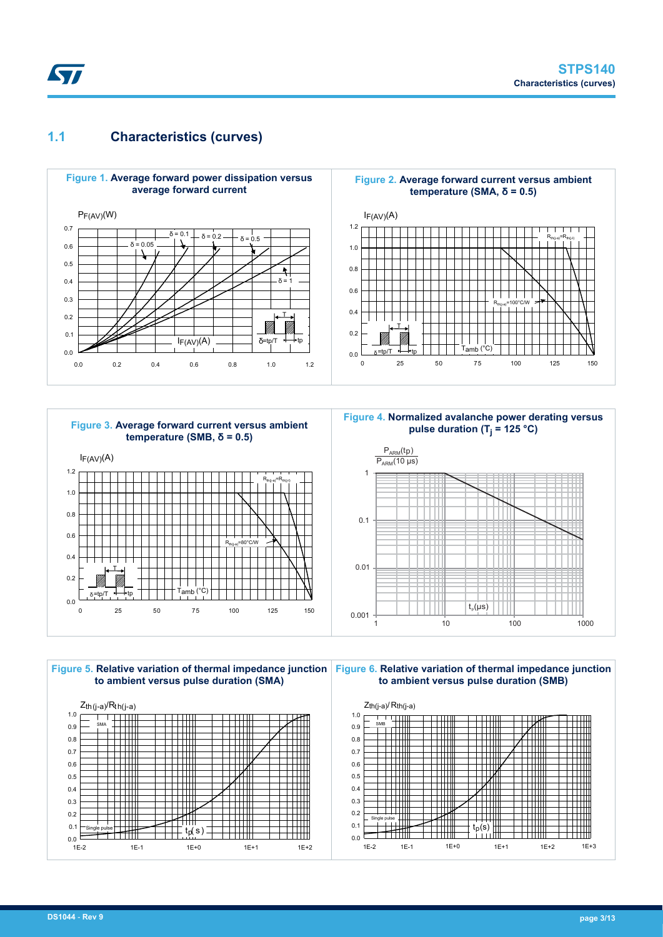### <span id="page-2-0"></span>**1.1 Characteristics (curves)**





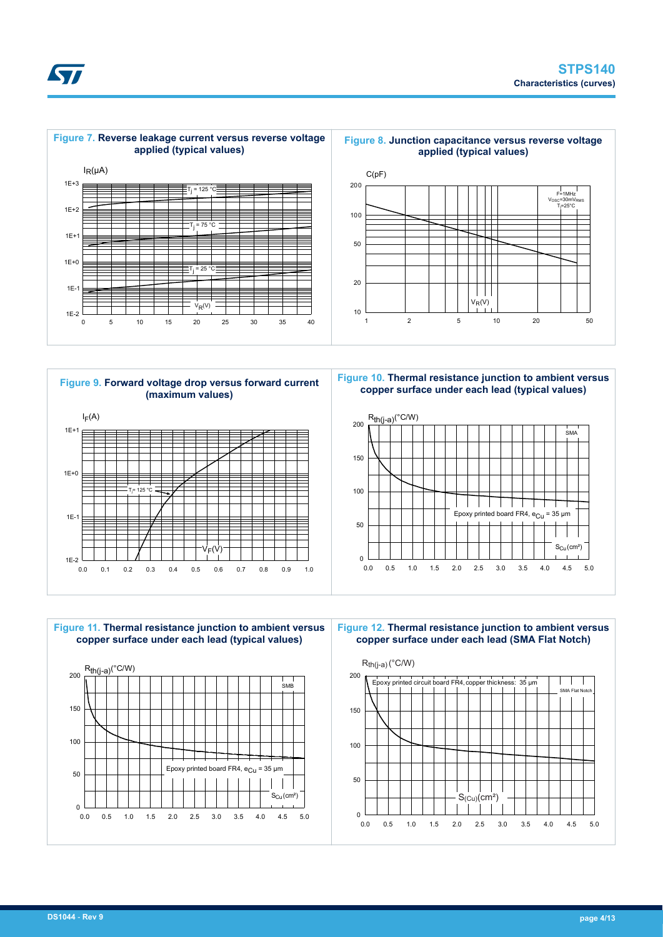







**Figure 10. Thermal resistance junction to ambient versus copper surface under each lead (typical values)**





**Figure 12. Thermal resistance junction to ambient versus copper surface under each lead (SMA Flat Notch)**



57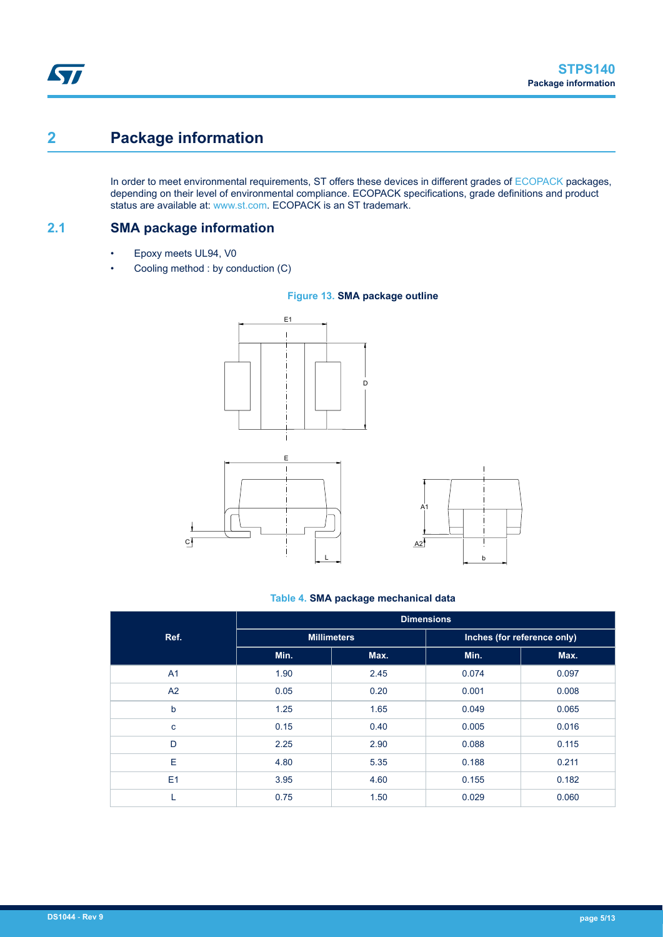# <span id="page-4-0"></span>**2 Package information**

In order to meet environmental requirements, ST offers these devices in different grades of [ECOPACK](https://www.st.com/ecopack) packages, depending on their level of environmental compliance. ECOPACK specifications, grade definitions and product status are available at: [www.st.com.](http://www.st.com) ECOPACK is an ST trademark.

**2.1 SMA package information**

- Epoxy meets UL94, V0
- Cooling method : by conduction (C)



#### **Figure 13. SMA package outline**

#### **Table 4. SMA package mechanical data**

b

 $\overline{\phantom{a}}$ 

 $\overline{\phantom{a}}$ 

|             | <b>Dimensions</b>  |      |                             |       |  |
|-------------|--------------------|------|-----------------------------|-------|--|
| Ref.        | <b>Millimeters</b> |      | Inches (for reference only) |       |  |
|             | Min.               | Max. | Min.                        | Max.  |  |
| A1          | 1.90               | 2.45 | 0.074                       | 0.097 |  |
| A2          | 0.05               | 0.20 | 0.001                       | 0.008 |  |
| b           | 1.25               | 1.65 | 0.049                       | 0.065 |  |
| $\mathbf c$ | 0.15               | 0.40 | 0.005                       | 0.016 |  |
| D           | 2.25               | 2.90 | 0.088                       | 0.115 |  |
| E           | 4.80               | 5.35 | 0.188                       | 0.211 |  |
| E1          | 3.95               | 4.60 | 0.155                       | 0.182 |  |
| L           | 0.75               | 1.50 | 0.029                       | 0.060 |  |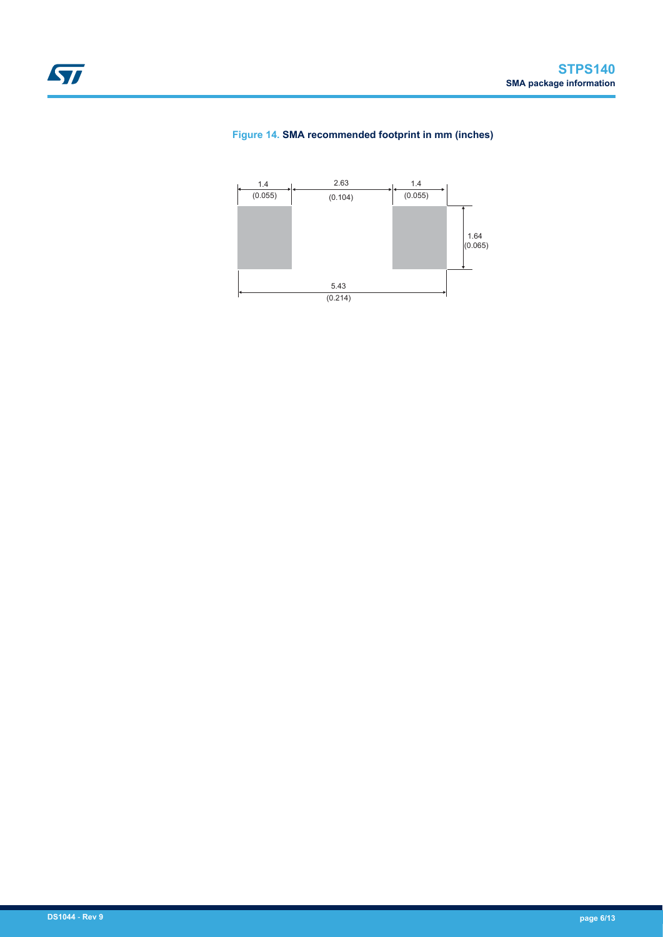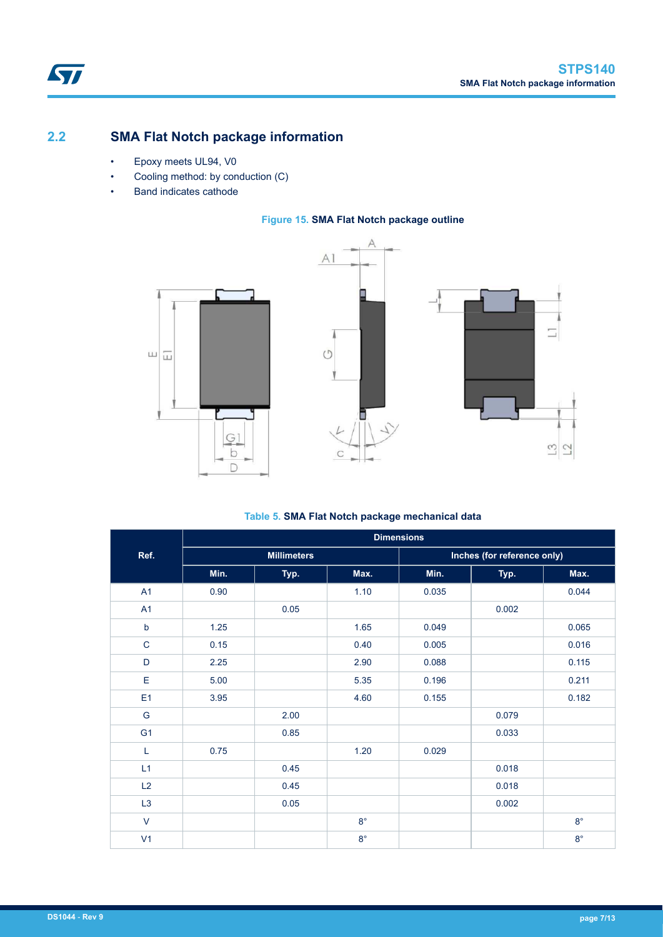### <span id="page-6-0"></span>**2.2 SMA Flat Notch package information**

- Epoxy meets UL94, V0
- Cooling method: by conduction (C)
- Band indicates cathode

### **Figure 15. SMA Flat Notch package outline**







### **Table 5. SMA Flat Notch package mechanical data**

|                | <b>Dimensions</b> |                    |             |       |                             |             |  |
|----------------|-------------------|--------------------|-------------|-------|-----------------------------|-------------|--|
| Ref.           |                   | <b>Millimeters</b> |             |       | Inches (for reference only) |             |  |
|                | Min.              | Typ.               | Max.        | Min.  | Typ.                        | Max.        |  |
| A1             | 0.90              |                    | 1.10        | 0.035 |                             | 0.044       |  |
| A1             |                   | 0.05               |             |       | 0.002                       |             |  |
| $\sf b$        | 1.25              |                    | 1.65        | 0.049 |                             | 0.065       |  |
| $\mathsf C$    | 0.15              |                    | 0.40        | 0.005 |                             | 0.016       |  |
| D              | 2.25              |                    | 2.90        | 0.088 |                             | 0.115       |  |
| E              | 5.00              |                    | 5.35        | 0.196 |                             | 0.211       |  |
| E <sub>1</sub> | 3.95              |                    | 4.60        | 0.155 |                             | 0.182       |  |
| G              |                   | 2.00               |             |       | 0.079                       |             |  |
| G <sub>1</sub> |                   | 0.85               |             |       | 0.033                       |             |  |
| Г              | 0.75              |                    | 1.20        | 0.029 |                             |             |  |
| L1             |                   | 0.45               |             |       | 0.018                       |             |  |
| L2             |                   | 0.45               |             |       | 0.018                       |             |  |
| L <sub>3</sub> |                   | 0.05               |             |       | 0.002                       |             |  |
| $\vee$         |                   |                    | $8^{\circ}$ |       |                             | $8^{\circ}$ |  |
| V <sub>1</sub> |                   |                    | $8^{\circ}$ |       |                             | $8^{\circ}$ |  |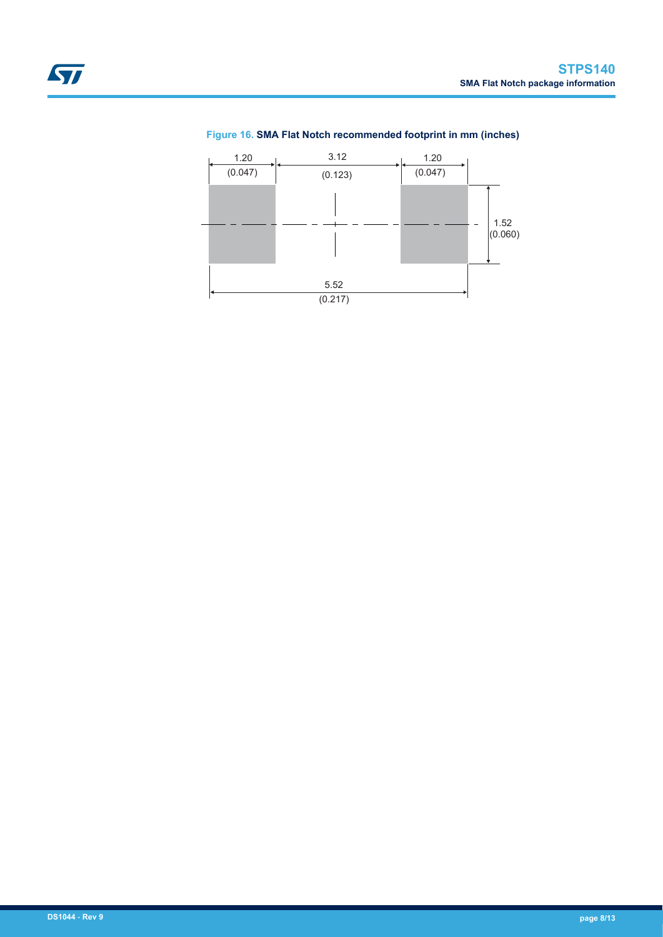### **Figure 16. SMA Flat Notch recommended footprint in mm (inches)**

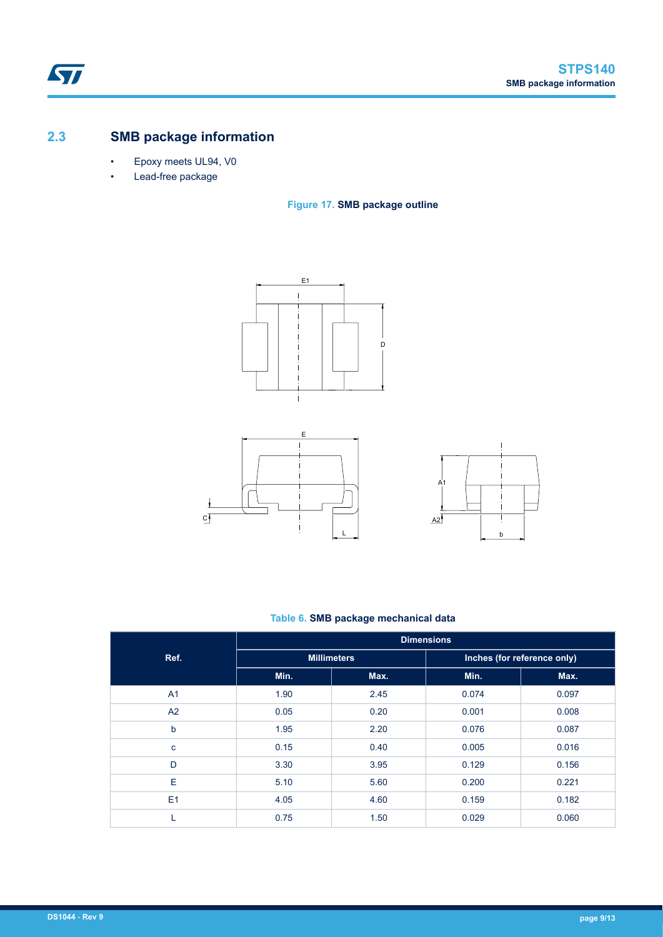### <span id="page-8-0"></span>**2.3 SMB package information**

- Epoxy meets UL94, V0
- Lead-free package









### **Table 6. SMB package mechanical data**

|                | <b>Dimensions</b>  |      |                             |       |  |
|----------------|--------------------|------|-----------------------------|-------|--|
| Ref.           | <b>Millimeters</b> |      | Inches (for reference only) |       |  |
|                | Min.               | Max. | Min.                        | Max.  |  |
| A <sub>1</sub> | 1.90               | 2.45 | 0.074                       | 0.097 |  |
| A2             | 0.05               | 0.20 | 0.001                       | 0.008 |  |
| b              | 1.95               | 2.20 | 0.076                       | 0.087 |  |
| c              | 0.15               | 0.40 | 0.005                       | 0.016 |  |
| D              | 3.30               | 3.95 | 0.129                       | 0.156 |  |
| E              | 5.10               | 5.60 | 0.200                       | 0.221 |  |
| E1             | 4.05               | 4.60 | 0.159                       | 0.182 |  |
| L              | 0.75               | 1.50 | 0.029                       | 0.060 |  |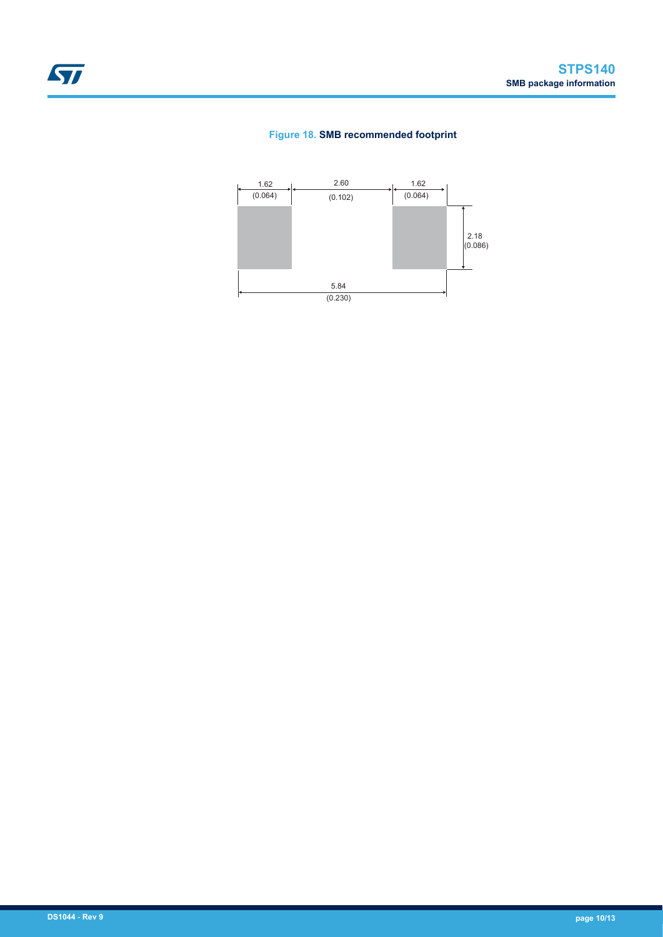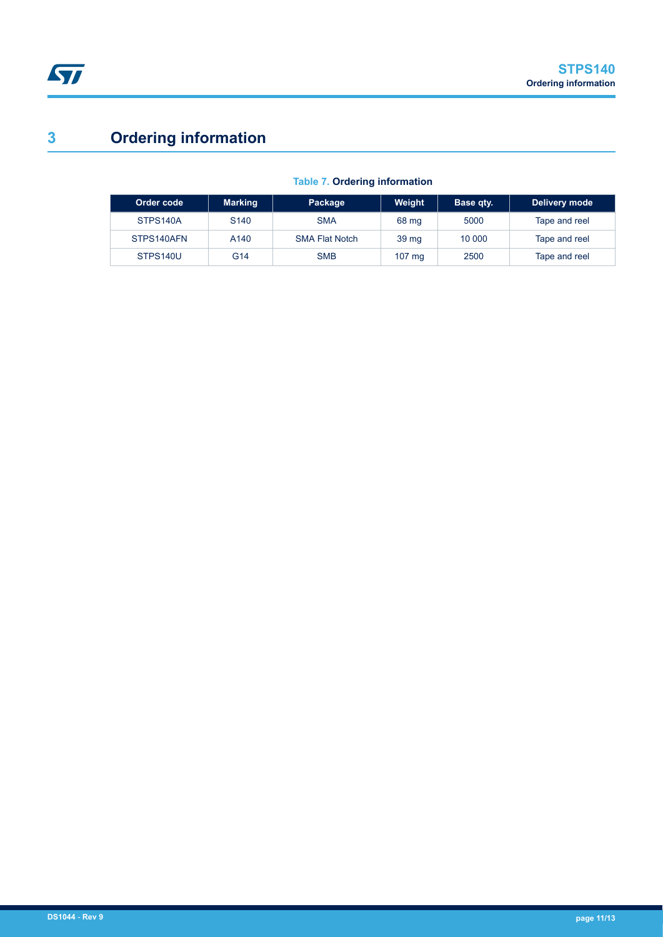# **3 Ordering information**

| Order code | <b>Marking</b>   | Package               | Weight           | Base qty. | Delivery mode |
|------------|------------------|-----------------------|------------------|-----------|---------------|
| STPS140A   | S <sub>140</sub> | <b>SMA</b>            | 68 mg            | 5000      | Tape and reel |
| STPS140AFN | A <sub>140</sub> | <b>SMA Flat Notch</b> | 39 <sub>mg</sub> | 10 000    | Tape and reel |
| STPS140U   | G <sub>14</sub>  | <b>SMB</b>            | $107 \text{ ma}$ | 2500      | Tape and reel |

### **Table 7. Ordering information**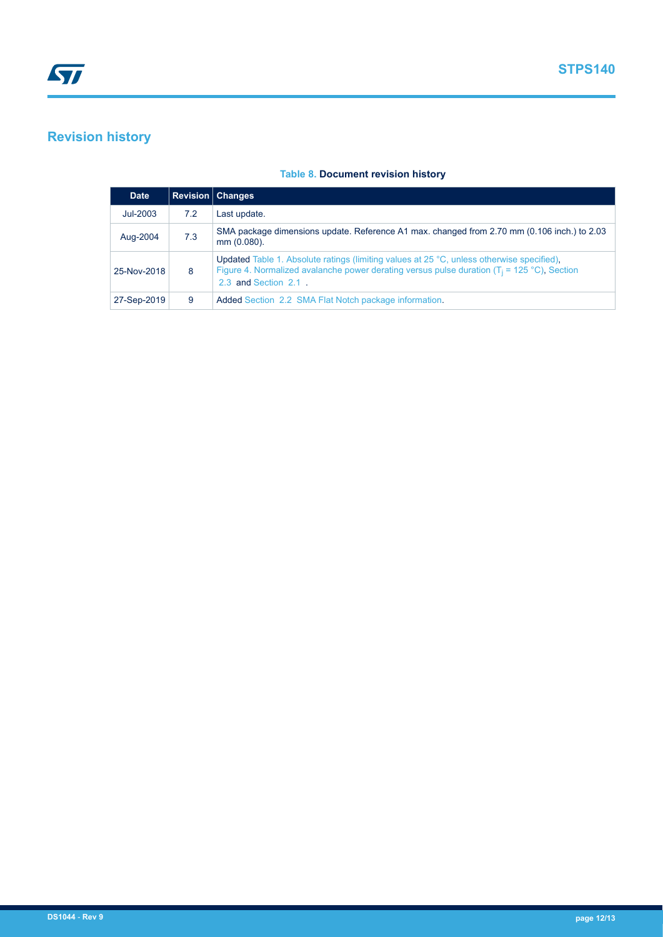# **Revision history**

| <b>Date</b> |     | <b>Revision   Changes</b>                                                                                                                                                                                           |
|-------------|-----|---------------------------------------------------------------------------------------------------------------------------------------------------------------------------------------------------------------------|
| $Jul-2003$  | 7.2 | Last update.                                                                                                                                                                                                        |
| Aug-2004    | 7.3 | SMA package dimensions update. Reference A1 max. changed from 2.70 mm (0.106 inch.) to 2.03<br>mm (0.080).                                                                                                          |
| 25-Nov-2018 | 8   | Updated Table 1. Absolute ratings (limiting values at 25 °C, unless otherwise specified),<br>Figure 4. Normalized avalanche power derating versus pulse duration ( $T_i$ = 125 °C), Section<br>2.3 and Section 2.1. |
| 27-Sep-2019 | 9   | Added Section 2.2 SMA Flat Notch package information.                                                                                                                                                               |

### **Table 8. Document revision history**